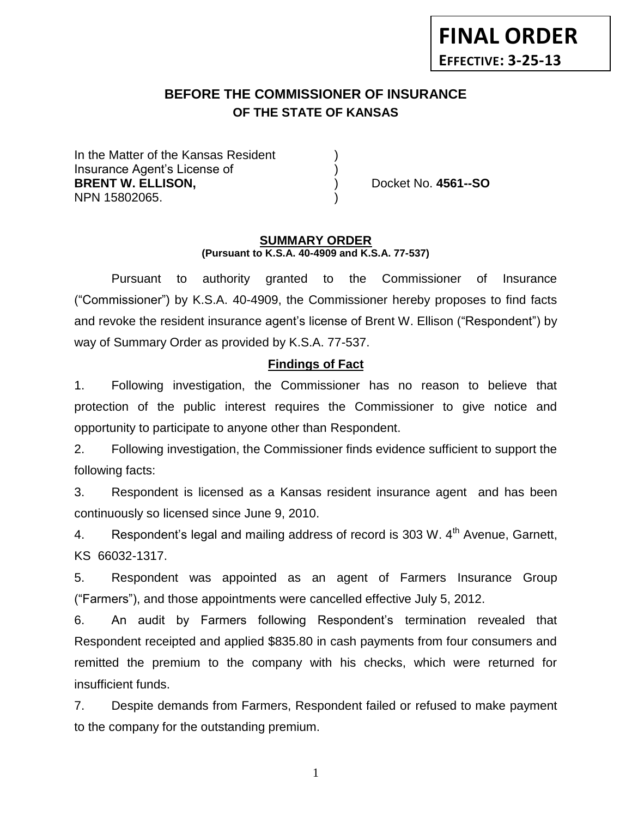# **FINAL ORDER EFFECTIVE: 3-25-13**

# **BEFORE THE COMMISSIONER OF INSURANCE** *-12***OF THE STATE OF KANSAS**

In the Matter of the Kansas Resident Insurance Agent's License of ) **BRENT W. ELLISON,**  (and a set of the set of the set of the set of the set of the set of the set of the set of the set of the set of the set of the set of the set of the set of the set of the set of the set of the set of NPN 15802065. )

#### **SUMMARY ORDER (Pursuant to K.S.A. 40-4909 and K.S.A. 77-537)**

Pursuant to authority granted to the Commissioner of Insurance ("Commissioner") by K.S.A. 40-4909, the Commissioner hereby proposes to find facts and revoke the resident insurance agent's license of Brent W. Ellison ("Respondent") by way of Summary Order as provided by K.S.A. 77-537.

## **Findings of Fact**

1. Following investigation, the Commissioner has no reason to believe that protection of the public interest requires the Commissioner to give notice and opportunity to participate to anyone other than Respondent.

2. Following investigation, the Commissioner finds evidence sufficient to support the following facts:

3. Respondent is licensed as a Kansas resident insurance agent and has been continuously so licensed since June 9, 2010.

4. Respondent's legal and mailing address of record is 303 W. 4<sup>th</sup> Avenue, Garnett, KS 66032-1317.

5. Respondent was appointed as an agent of Farmers Insurance Group ("Farmers"), and those appointments were cancelled effective July 5, 2012.

6. An audit by Farmers following Respondent's termination revealed that Respondent receipted and applied \$835.80 in cash payments from four consumers and remitted the premium to the company with his checks, which were returned for insufficient funds.

7. Despite demands from Farmers, Respondent failed or refused to make payment to the company for the outstanding premium.

1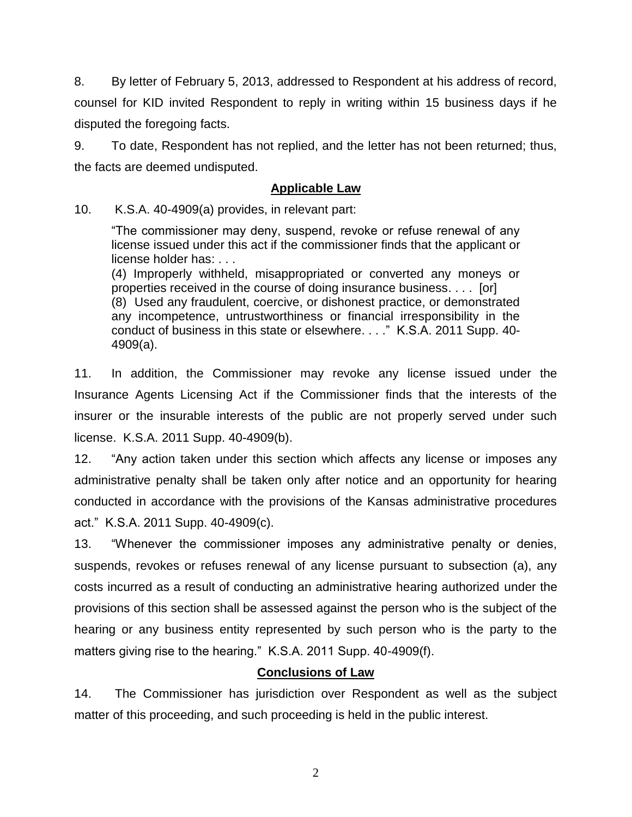8. By letter of February 5, 2013, addressed to Respondent at his address of record, counsel for KID invited Respondent to reply in writing within 15 business days if he disputed the foregoing facts.

9. To date, Respondent has not replied, and the letter has not been returned; thus, the facts are deemed undisputed.

#### **Applicable Law**

10. K.S.A. 40-4909(a) provides, in relevant part:

"The commissioner may deny, suspend, revoke or refuse renewal of any license issued under this act if the commissioner finds that the applicant or license holder has: . . .

(4) Improperly withheld, misappropriated or converted any moneys or properties received in the course of doing insurance business. . . . [or] (8) Used any fraudulent, coercive, or dishonest practice, or demonstrated any incompetence, untrustworthiness or financial irresponsibility in the conduct of business in this state or elsewhere. . . ." K.S.A. 2011 Supp. 40- 4909(a).

11. In addition, the Commissioner may revoke any license issued under the Insurance Agents Licensing Act if the Commissioner finds that the interests of the insurer or the insurable interests of the public are not properly served under such license. K.S.A. 2011 Supp. 40-4909(b).

12. "Any action taken under this section which affects any license or imposes any administrative penalty shall be taken only after notice and an opportunity for hearing conducted in accordance with the provisions of the Kansas administrative procedures act." K.S.A. 2011 Supp. 40-4909(c).

13. "Whenever the commissioner imposes any administrative penalty or denies, suspends, revokes or refuses renewal of any license pursuant to subsection (a), any costs incurred as a result of conducting an administrative hearing authorized under the provisions of this section shall be assessed against the person who is the subject of the hearing or any business entity represented by such person who is the party to the matters giving rise to the hearing." K.S.A. 2011 Supp. 40-4909(f).

## **Conclusions of Law**

14. The Commissioner has jurisdiction over Respondent as well as the subject matter of this proceeding, and such proceeding is held in the public interest.

2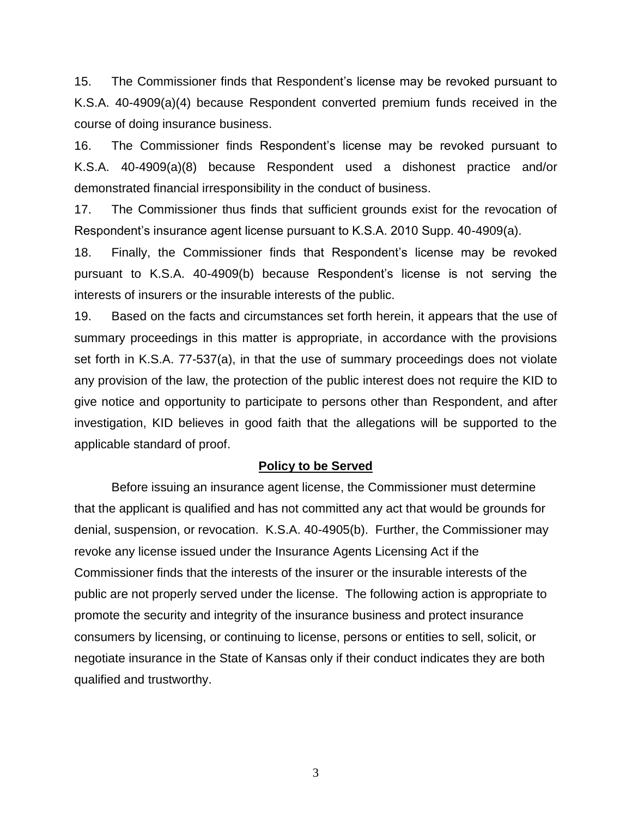15. The Commissioner finds that Respondent's license may be revoked pursuant to K.S.A. 40-4909(a)(4) because Respondent converted premium funds received in the course of doing insurance business.

16. The Commissioner finds Respondent's license may be revoked pursuant to K.S.A. 40-4909(a)(8) because Respondent used a dishonest practice and/or demonstrated financial irresponsibility in the conduct of business.

17. The Commissioner thus finds that sufficient grounds exist for the revocation of Respondent's insurance agent license pursuant to K.S.A. 2010 Supp. 40-4909(a).

18. Finally, the Commissioner finds that Respondent's license may be revoked pursuant to K.S.A. 40-4909(b) because Respondent's license is not serving the interests of insurers or the insurable interests of the public.

19. Based on the facts and circumstances set forth herein, it appears that the use of summary proceedings in this matter is appropriate, in accordance with the provisions set forth in K.S.A. 77-537(a), in that the use of summary proceedings does not violate any provision of the law, the protection of the public interest does not require the KID to give notice and opportunity to participate to persons other than Respondent, and after investigation, KID believes in good faith that the allegations will be supported to the applicable standard of proof.

#### **Policy to be Served**

Before issuing an insurance agent license, the Commissioner must determine that the applicant is qualified and has not committed any act that would be grounds for denial, suspension, or revocation. K.S.A. 40-4905(b). Further, the Commissioner may revoke any license issued under the Insurance Agents Licensing Act if the Commissioner finds that the interests of the insurer or the insurable interests of the public are not properly served under the license. The following action is appropriate to promote the security and integrity of the insurance business and protect insurance consumers by licensing, or continuing to license, persons or entities to sell, solicit, or negotiate insurance in the State of Kansas only if their conduct indicates they are both qualified and trustworthy.

3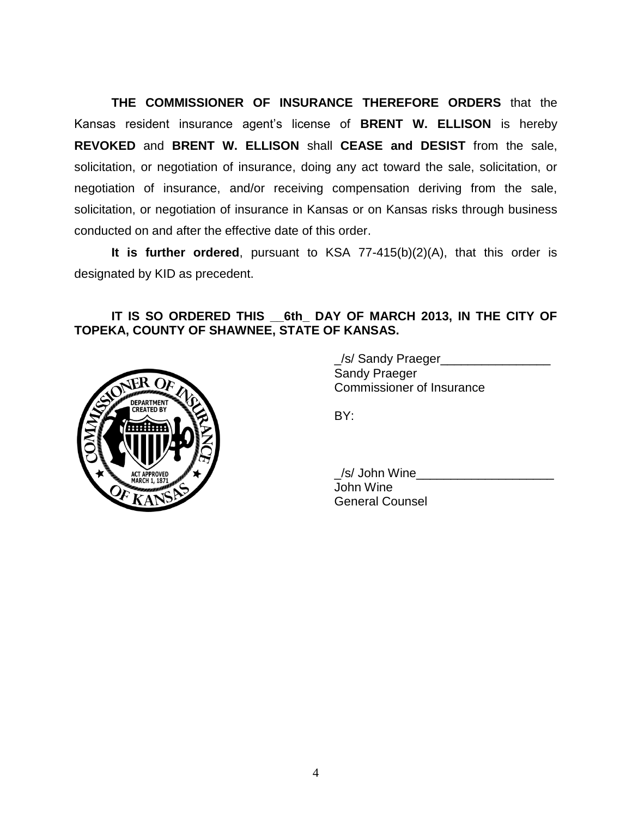**THE COMMISSIONER OF INSURANCE THEREFORE ORDERS** that the Kansas resident insurance agent's license of **BRENT W. ELLISON** is hereby **REVOKED** and **BRENT W. ELLISON** shall **CEASE and DESIST** from the sale, solicitation, or negotiation of insurance, doing any act toward the sale, solicitation, or negotiation of insurance, and/or receiving compensation deriving from the sale, solicitation, or negotiation of insurance in Kansas or on Kansas risks through business conducted on and after the effective date of this order.

**It is further ordered**, pursuant to KSA 77-415(b)(2)(A), that this order is designated by KID as precedent.

#### **IT IS SO ORDERED THIS \_\_6th\_ DAY OF MARCH 2013, IN THE CITY OF TOPEKA, COUNTY OF SHAWNEE, STATE OF KANSAS.**



\_/s/ Sandy Praeger\_\_\_\_\_\_\_\_\_\_\_\_\_\_\_\_ Sandy Praeger Commissioner of Insurance

BY:

\_/s/ John Wine\_\_\_\_\_\_\_\_\_\_\_\_\_\_\_\_\_\_\_\_ John Wine General Counsel